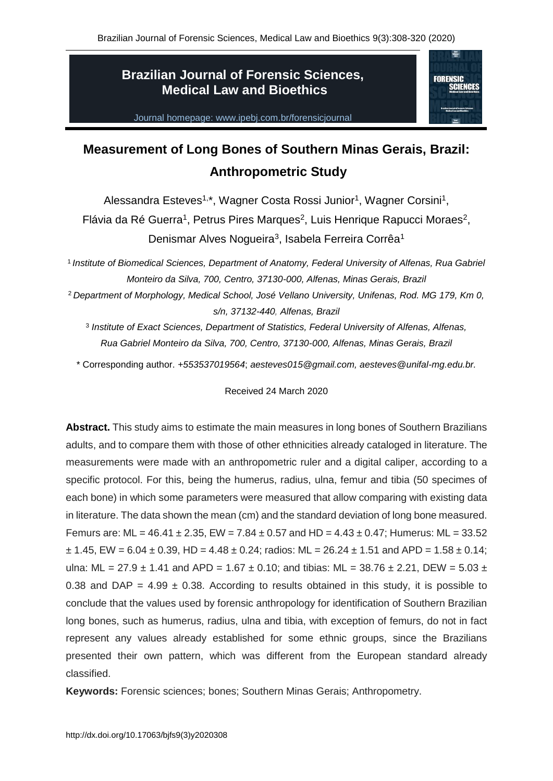# **Brazilian Journal of Forensic Sciences, Medical Law and Bioethics**



Journal homepage: www.ipebj.com.br/forensicjournal

# **Measurement of Long Bones of Southern Minas Gerais, Brazil: Anthropometric Study**

Alessandra Esteves<sup>1,\*</sup>, Wagner Costa Rossi Junior<sup>1</sup>, Wagner Corsini<sup>1</sup>, Flávia da Ré Guerra<sup>1</sup>, Petrus Pires Marques<sup>2</sup>, Luis Henrique Rapucci Moraes<sup>2</sup>, Denismar Alves Nogueira<sup>3</sup>, Isabela Ferreira Corrêa<sup>1</sup>

<sup>1</sup> Institute of Biomedical Sciences, Department of Anatomy, Federal University of Alfenas, Rua Gabriel *Monteiro da Silva, 700, Centro, 37130-000, Alfenas, Minas Gerais, Brazil*

<sup>2</sup> *Department of Morphology, Medical School, José Vellano University, Unifenas, Rod. MG 179, Km 0, s/n, 37132-440, Alfenas, Brazil*

<sup>3</sup> Institute of Exact Sciences, Department of Statistics, Federal University of Alfenas, Alfenas, *Rua Gabriel Monteiro da Silva, 700, Centro, 37130-000, Alfenas, Minas Gerais, Brazil*

\* Corresponding author. *+553537019564*; *aesteves015@gmail.com, aesteves@unifal-mg.edu.br.*

#### Received 24 March 2020

**Abstract.** This study aims to estimate the main measures in long bones of Southern Brazilians adults, and to compare them with those of other ethnicities already cataloged in literature. The measurements were made with an anthropometric ruler and a digital caliper, according to a specific protocol. For this, being the humerus, radius, ulna, femur and tibia (50 specimes of each bone) in which some parameters were measured that allow comparing with existing data in literature. The data shown the mean (cm) and the standard deviation of long bone measured. Femurs are: ML =  $46.41 \pm 2.35$ , EW =  $7.84 \pm 0.57$  and HD =  $4.43 \pm 0.47$ ; Humerus: ML =  $33.52$  $\pm$  1.45, EW = 6.04  $\pm$  0.39, HD = 4.48  $\pm$  0.24; radios: ML = 26.24  $\pm$  1.51 and APD = 1.58  $\pm$  0.14; ulna: ML = 27.9  $\pm$  1.41 and APD = 1.67  $\pm$  0.10; and tibias: ML = 38.76  $\pm$  2.21, DEW = 5.03  $\pm$ 0.38 and DAP =  $4.99 \pm 0.38$ . According to results obtained in this study, it is possible to conclude that the values used by forensic anthropology for identification of Southern Brazilian long bones, such as humerus, radius, ulna and tibia, with exception of femurs, do not in fact represent any values already established for some ethnic groups, since the Brazilians presented their own pattern, which was different from the European standard already classified.

**Keywords:** Forensic sciences; bones; Southern Minas Gerais; Anthropometry.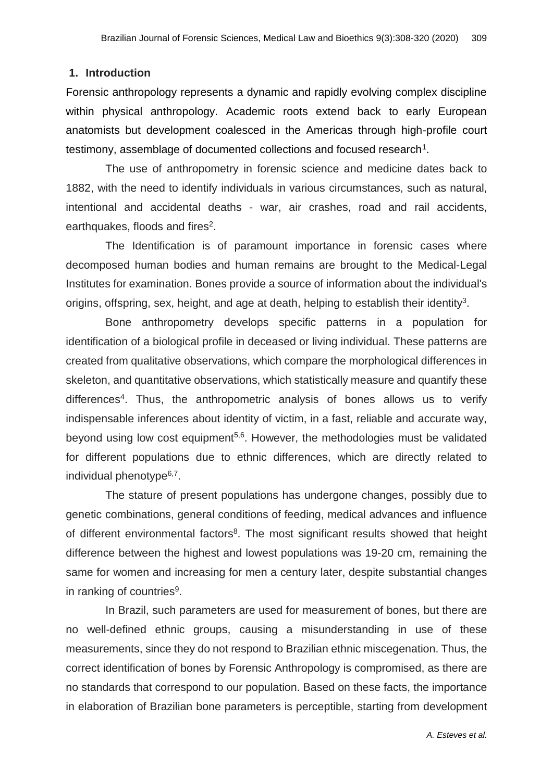#### **1. Introduction**

Forensic anthropology represents a dynamic and rapidly evolving complex discipline within physical anthropology. Academic roots extend back to early European anatomists but development coalesced in the Americas through high-profile court testimony, assemblage of documented collections and focused research<sup>1</sup>.

The use of anthropometry in forensic science and medicine dates back to 1882, with the need to identify individuals in various circumstances, such as natural, intentional and accidental deaths - war, air crashes, road and rail accidents, earthquakes, floods and fires<sup>2</sup>.

The Identification is of paramount importance in forensic cases where decomposed human bodies and human remains are brought to the Medical-Legal Institutes for examination. Bones provide a source of information about the individual's origins, offspring, sex, height, and age at death, helping to establish their identity<sup>3</sup>.

Bone anthropometry develops specific patterns in a population for identification of a biological profile in deceased or living individual. These patterns are created from qualitative observations, which compare the morphological differences in skeleton, and quantitative observations, which statistically measure and quantify these differences<sup>4</sup>. Thus, the anthropometric analysis of bones allows us to verify indispensable inferences about identity of victim, in a fast, reliable and accurate way, beyond using low cost equipment<sup>5,6</sup>. However, the methodologies must be validated for different populations due to ethnic differences, which are directly related to individual phenotype<sup>6,7</sup>.

The stature of present populations has undergone changes, possibly due to genetic combinations, general conditions of feeding, medical advances and influence of different environmental factors<sup>8</sup>. The most significant results showed that height difference between the highest and lowest populations was 19-20 cm, remaining the same for women and increasing for men a century later, despite substantial changes in ranking of countries<sup>9</sup>.

In Brazil, such parameters are used for measurement of bones, but there are no well-defined ethnic groups, causing a misunderstanding in use of these measurements, since they do not respond to Brazilian ethnic miscegenation. Thus, the correct identification of bones by Forensic Anthropology is compromised, as there are no standards that correspond to our population. Based on these facts, the importance in elaboration of Brazilian bone parameters is perceptible, starting from development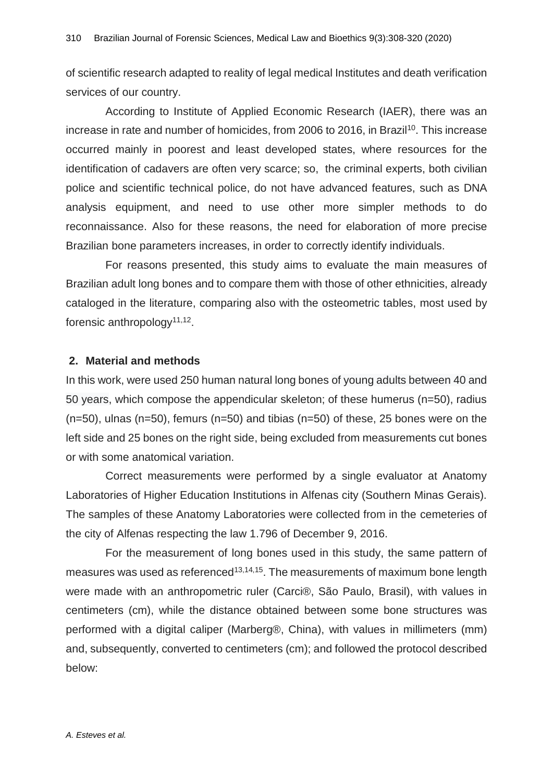of scientific research adapted to reality of legal medical Institutes and death verification services of our country.

According to Institute of Applied Economic Research (IAER), there was an increase in rate and number of homicides, from 2006 to 2016, in Brazil<sup>10</sup>. This increase occurred mainly in poorest and least developed states, where resources for the identification of cadavers are often very scarce; so, the criminal experts, both civilian police and scientific technical police, do not have advanced features, such as DNA analysis equipment, and need to use other more simpler methods to do reconnaissance. Also for these reasons, the need for elaboration of more precise Brazilian bone parameters increases, in order to correctly identify individuals.

For reasons presented, this study aims to evaluate the main measures of Brazilian adult long bones and to compare them with those of other ethnicities, already cataloged in the literature, comparing also with the osteometric tables, most used by forensic anthropology<sup>11,12</sup>.

#### **2. Material and methods**

In this work, were used 250 human natural long bones of young adults between 40 and 50 years, which compose the appendicular skeleton; of these humerus (n=50), radius  $(n=50)$ , ulnas  $(n=50)$ , femurs  $(n=50)$  and tibias  $(n=50)$  of these, 25 bones were on the left side and 25 bones on the right side, being excluded from measurements cut bones or with some anatomical variation.

Correct measurements were performed by a single evaluator at Anatomy Laboratories of Higher Education Institutions in Alfenas city (Southern Minas Gerais). The samples of these Anatomy Laboratories were collected from in the cemeteries of the city of Alfenas respecting the law 1.796 of December 9, 2016.

For the measurement of long bones used in this study, the same pattern of measures was used as referenced<sup>13,14,15</sup>. The measurements of maximum bone length were made with an anthropometric ruler (Carci®, São Paulo, Brasil), with values in centimeters (cm), while the distance obtained between some bone structures was performed with a digital caliper (Marberg®, China), with values in millimeters (mm) and, subsequently, converted to centimeters (cm); and followed the protocol described below: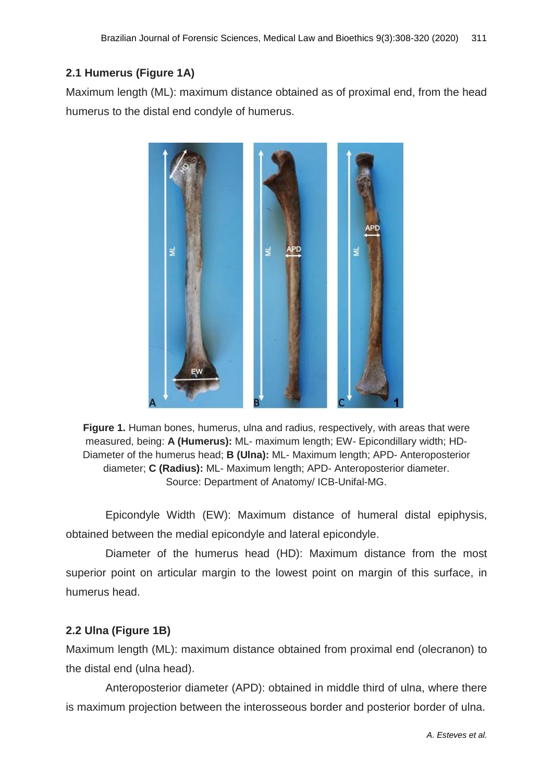# **2.1 Humerus (Figure 1A)**

Maximum length (ML): maximum distance obtained as of proximal end, from the head humerus to the distal end condyle of humerus.



**Figure 1.** Human bones, humerus, ulna and radius, respectively, with areas that were measured, being: **A (Humerus):** ML- maximum length; EW- Epicondillary width; HD-Diameter of the humerus head; **B (Ulna):** ML- Maximum length; APD- Anteroposterior diameter; **C (Radius):** ML- Maximum length; APD- Anteroposterior diameter. Source: Department of Anatomy/ ICB-Unifal-MG.

Epicondyle Width (EW): Maximum distance of humeral distal epiphysis, obtained between the medial epicondyle and lateral epicondyle.

Diameter of the humerus head (HD): Maximum distance from the most superior point on articular margin to the lowest point on margin of this surface, in humerus head.

# **2.2 Ulna (Figure 1B)**

Maximum length (ML): maximum distance obtained from proximal end (olecranon) to the distal end (ulna head).

Anteroposterior diameter (APD): obtained in middle third of ulna, where there is maximum projection between the interosseous border and posterior border of ulna.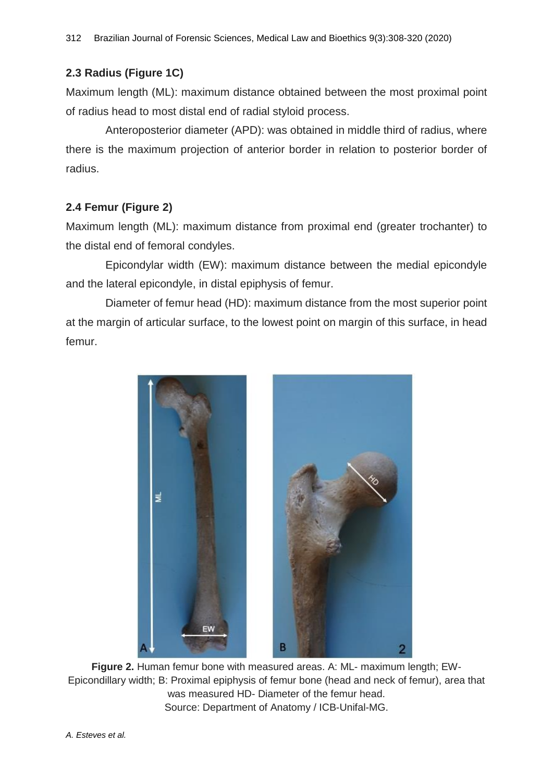# **2.3 Radius (Figure 1C)**

Maximum length (ML): maximum distance obtained between the most proximal point of radius head to most distal end of radial styloid process.

Anteroposterior diameter (APD): was obtained in middle third of radius, where there is the maximum projection of anterior border in relation to posterior border of radius.

# **2.4 Femur (Figure 2)**

Maximum length (ML): maximum distance from proximal end (greater trochanter) to the distal end of femoral condyles.

Epicondylar width (EW): maximum distance between the medial epicondyle and the lateral epicondyle, in distal epiphysis of femur.

Diameter of femur head (HD): maximum distance from the most superior point at the margin of articular surface, to the lowest point on margin of this surface, in head femur.



**Figure 2.** Human femur bone with measured areas. A: ML- maximum length; EW-Epicondillary width; B: Proximal epiphysis of femur bone (head and neck of femur), area that was measured HD- Diameter of the femur head. Source: Department of Anatomy / ICB-Unifal-MG.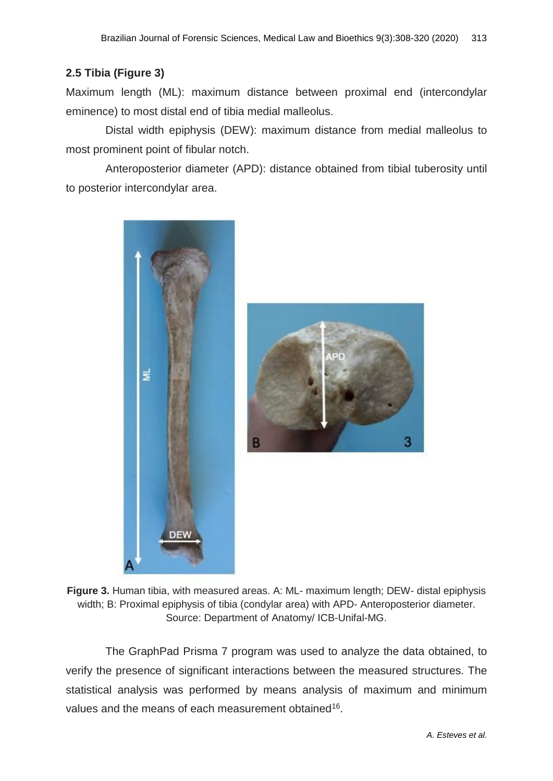### **2.5 Tibia (Figure 3)**

Maximum length (ML): maximum distance between proximal end (intercondylar eminence) to most distal end of tibia medial malleolus.

Distal width epiphysis (DEW): maximum distance from medial malleolus to most prominent point of fibular notch.

Anteroposterior diameter (APD): distance obtained from tibial tuberosity until to posterior intercondylar area.





**Figure 3.** Human tibia, with measured areas. A: ML- maximum length; DEW- distal epiphysis width; B: Proximal epiphysis of tibia (condylar area) with APD- Anteroposterior diameter. Source: Department of Anatomy/ ICB-Unifal-MG.

The GraphPad Prisma 7 program was used to analyze the data obtained, to verify the presence of significant interactions between the measured structures. The statistical analysis was performed by means analysis of maximum and minimum values and the means of each measurement obtained<sup>16</sup>.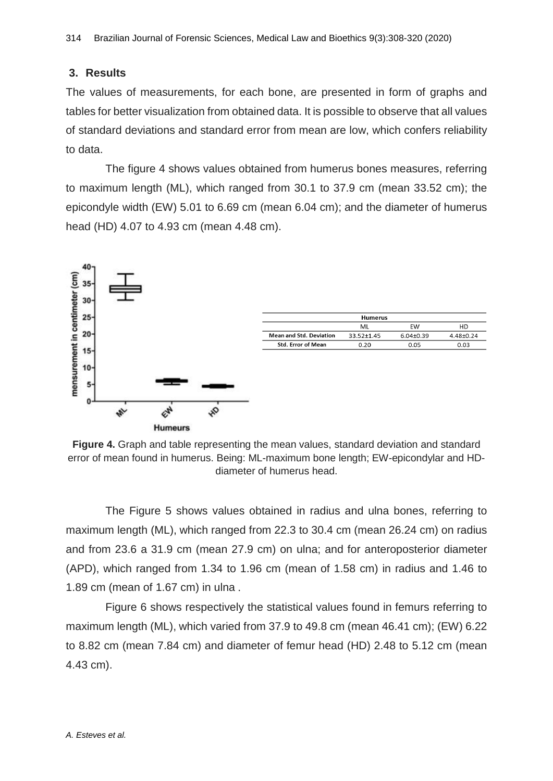### **3. Results**

The values of measurements, for each bone, are presented in form of graphs and tables for better visualization from obtained data. It is possible to observe that all values of standard deviations and standard error from mean are low, which confers reliability to data.

The figure 4 shows values obtained from humerus bones measures, referring to maximum length (ML), which ranged from 30.1 to 37.9 cm (mean 33.52 cm); the epicondyle width (EW) 5.01 to 6.69 cm (mean 6.04 cm); and the diameter of humerus head (HD) 4.07 to 4.93 cm (mean 4.48 cm).



**Figure 4.** Graph and table representing the mean values, standard deviation and standard error of mean found in humerus. Being: ML-maximum bone length; EW-epicondylar and HDdiameter of humerus head.

The Figure 5 shows values obtained in radius and ulna bones, referring to maximum length (ML), which ranged from 22.3 to 30.4 cm (mean 26.24 cm) on radius and from 23.6 a 31.9 cm (mean 27.9 cm) on ulna; and for anteroposterior diameter (APD), which ranged from 1.34 to 1.96 cm (mean of 1.58 cm) in radius and 1.46 to 1.89 cm (mean of 1.67 cm) in ulna .

Figure 6 shows respectively the statistical values found in femurs referring to maximum length (ML), which varied from 37.9 to 49.8 cm (mean 46.41 cm); (EW) 6.22 to 8.82 cm (mean 7.84 cm) and diameter of femur head (HD) 2.48 to 5.12 cm (mean 4.43 cm).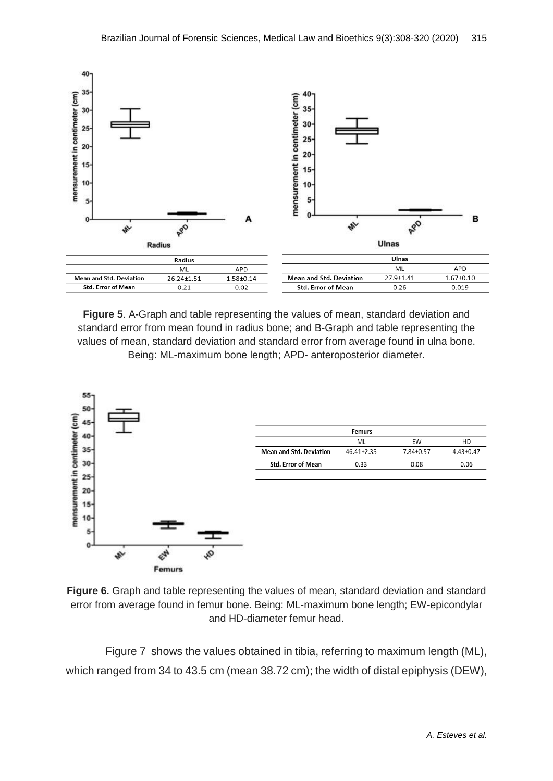

**Figure 5**. A-Graph and table representing the values of mean, standard deviation and standard error from mean found in radius bone; and B-Graph and table representing the values of mean, standard deviation and standard error from average found in ulna bone. Being: ML-maximum bone length; APD- anteroposterior diameter.



|                                | <b>Femurs</b> |           |               |
|--------------------------------|---------------|-----------|---------------|
|                                | ML            | <b>FW</b> | HD            |
| <b>Mean and Std. Deviation</b> | 46.41+2.35    | 7.84+0.57 | $4.43 + 0.47$ |
| <b>Std. Error of Mean</b>      | 0.33          | 0.08      | 0.06          |

**Figure 6.** Graph and table representing the values of mean, standard deviation and standard error from average found in femur bone. Being: ML-maximum bone length; EW-epicondylar and HD-diameter femur head.

Figure 7 shows the values obtained in tibia, referring to maximum length (ML), which ranged from 34 to 43.5 cm (mean 38.72 cm); the width of distal epiphysis (DEW),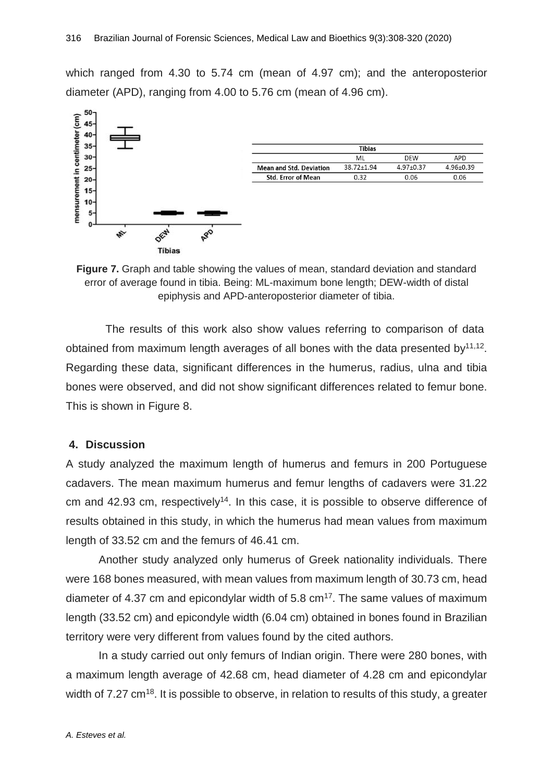which ranged from 4.30 to 5.74 cm (mean of 4.97 cm); and the anteroposterior diameter (APD), ranging from 4.00 to 5.76 cm (mean of 4.96 cm).



| Tibias                    |            |               |               |  |  |
|---------------------------|------------|---------------|---------------|--|--|
|                           | MI         | <b>DFW</b>    | APD           |  |  |
| Mean and Std. Deviation   | 38.72+1.94 | $4.97 + 0.37$ | $4.96 + 0.39$ |  |  |
| <b>Std. Error of Mean</b> | 0.32       | 0.06          | 0.06          |  |  |

**Figure 7.** Graph and table showing the values of mean, standard deviation and standard error of average found in tibia. Being: ML-maximum bone length; DEW-width of distal epiphysis and APD-anteroposterior diameter of tibia.

The results of this work also show values referring to comparison of data obtained from maximum length averages of all bones with the data presented by $11,12$ . Regarding these data, significant differences in the humerus, radius, ulna and tibia bones were observed, and did not show significant differences related to femur bone. This is shown in Figure 8.

#### **4. Discussion**

A study analyzed the maximum length of humerus and femurs in 200 Portuguese cadavers. The mean maximum humerus and femur lengths of cadavers were 31.22 cm and 42.93 cm, respectively<sup>14</sup>. In this case, it is possible to observe difference of results obtained in this study, in which the humerus had mean values from maximum length of 33.52 cm and the femurs of 46.41 cm.

Another study analyzed only humerus of Greek nationality individuals. There were 168 bones measured, with mean values from maximum length of 30.73 cm, head diameter of 4.37 cm and epicondylar width of 5.8  $cm<sup>17</sup>$ . The same values of maximum length (33.52 cm) and epicondyle width (6.04 cm) obtained in bones found in Brazilian territory were very different from values found by the cited authors.

In a study carried out only femurs of Indian origin. There were 280 bones, with a maximum length average of 42.68 cm, head diameter of 4.28 cm and epicondylar width of 7.27 cm<sup>18</sup>. It is possible to observe, in relation to results of this study, a greater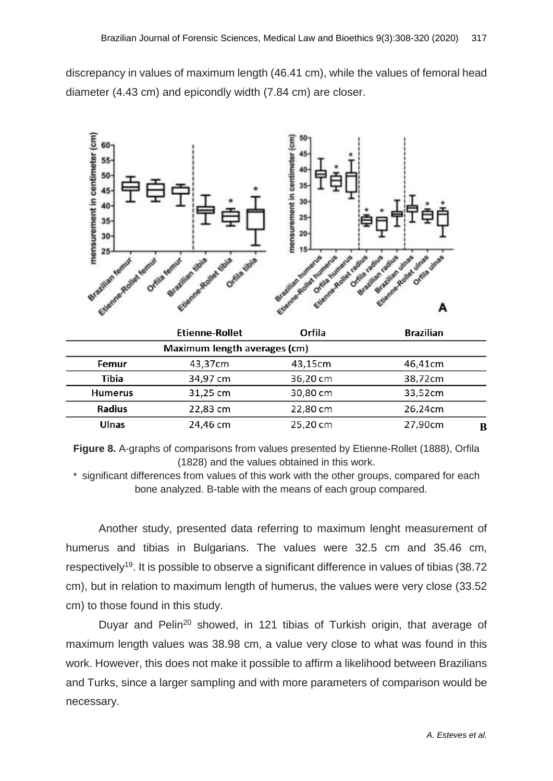discrepancy in values of maximum length (46.41 cm), while the values of femoral head diameter (4.43 cm) and epicondly width (7.84 cm) are closer.



|                              | <b>Etienne-Rollet</b> | Orfila   | <b>Brazilian</b> |  |  |
|------------------------------|-----------------------|----------|------------------|--|--|
| Maximum length averages (cm) |                       |          |                  |  |  |
| Femur                        | 43,37cm               | 43,15cm  | 46,41cm          |  |  |
| Tibia                        | 34,97 cm              | 36,20 cm | 38,72cm          |  |  |
| <b>Humerus</b>               | 31,25 cm              | 30,80 cm | 33,52cm          |  |  |
| <b>Radius</b>                | 22,83 cm              | 22,80 cm | 26,24cm          |  |  |
| Ulnas                        | 24,46 cm              | 25,20 cm | 27,90cm<br>B     |  |  |

**Figure 8.** A-graphs of comparisons from values presented by Etienne-Rollet (1888), Orfila (1828) and the values obtained in this work.

\* significant differences from values of this work with the other groups, compared for each bone analyzed. B-table with the means of each group compared.

Another study, presented data referring to maximum lenght measurement of humerus and tibias in Bulgarians. The values were 32.5 cm and 35.46 cm, respectively<sup>19</sup>. It is possible to observe a significant difference in values of tibias (38.72 cm), but in relation to maximum length of humerus, the values were very close (33.52 cm) to those found in this study.

Duyar and Pelin<sup>20</sup> showed, in 121 tibias of Turkish origin, that average of maximum length values was 38.98 cm, a value very close to what was found in this work. However, this does not make it possible to affirm a likelihood between Brazilians and Turks, since a larger sampling and with more parameters of comparison would be necessary.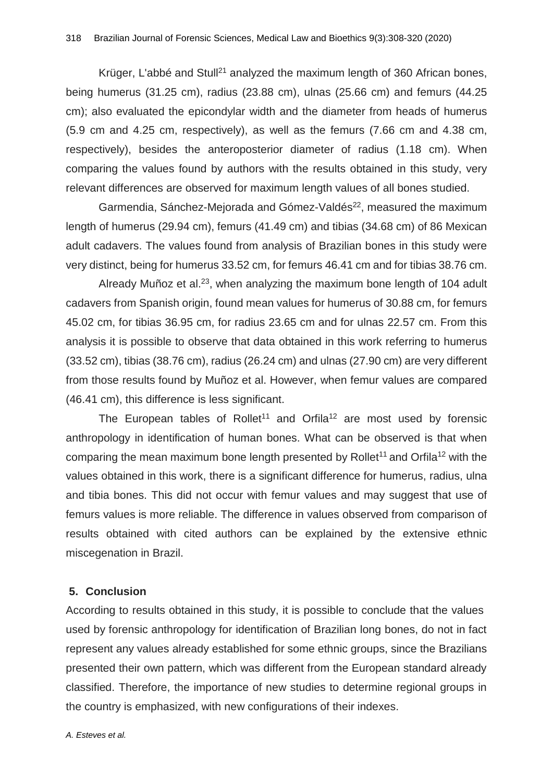Krüger, L'abbé and Stull<sup>21</sup> analyzed the maximum length of 360 African bones, being humerus (31.25 cm), radius (23.88 cm), ulnas (25.66 cm) and femurs (44.25 cm); also evaluated the epicondylar width and the diameter from heads of humerus (5.9 cm and 4.25 cm, respectively), as well as the femurs (7.66 cm and 4.38 cm, respectively), besides the anteroposterior diameter of radius (1.18 cm). When comparing the values found by authors with the results obtained in this study, very relevant differences are observed for maximum length values of all bones studied.

Garmendia, Sánchez-Mejorada and Gómez-Valdés<sup>22</sup>, measured the maximum length of humerus (29.94 cm), femurs (41.49 cm) and tibias (34.68 cm) of 86 Mexican adult cadavers. The values found from analysis of Brazilian bones in this study were very distinct, being for humerus 33.52 cm, for femurs 46.41 cm and for tibias 38.76 cm.

Already Muñoz et al.<sup>23</sup>, when analyzing the maximum bone length of 104 adult cadavers from Spanish origin, found mean values for humerus of 30.88 cm, for femurs 45.02 cm, for tibias 36.95 cm, for radius 23.65 cm and for ulnas 22.57 cm. From this analysis it is possible to observe that data obtained in this work referring to humerus (33.52 cm), tibias (38.76 cm), radius (26.24 cm) and ulnas (27.90 cm) are very different from those results found by Muñoz et al. However, when femur values are compared (46.41 cm), this difference is less significant.

The European tables of Rollet<sup>11</sup> and Orfila<sup>12</sup> are most used by forensic anthropology in identification of human bones. What can be observed is that when comparing the mean maximum bone length presented by Rollet<sup>11</sup> and Orfila<sup>12</sup> with the values obtained in this work, there is a significant difference for humerus, radius, ulna and tibia bones. This did not occur with femur values and may suggest that use of femurs values is more reliable. The difference in values observed from comparison of results obtained with cited authors can be explained by the extensive ethnic miscegenation in Brazil.

### **5. Conclusion**

According to results obtained in this study, it is possible to conclude that the values used by forensic anthropology for identification of Brazilian long bones, do not in fact represent any values already established for some ethnic groups, since the Brazilians presented their own pattern, which was different from the European standard already classified. Therefore, the importance of new studies to determine regional groups in the country is emphasized, with new configurations of their indexes.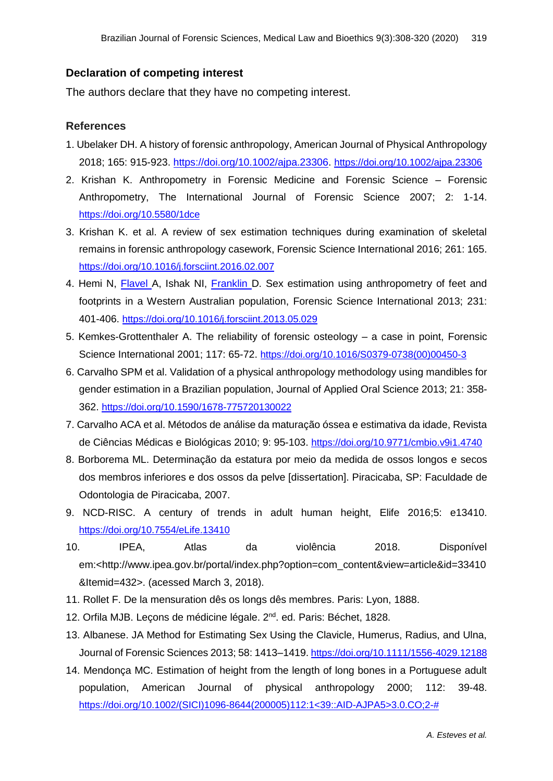### **Declaration of competing interest**

The authors declare that they have no competing interest.

### **References**

- 1. Ubelaker DH. A history of forensic anthropology, American Journal of Physical Anthropology 2018; 165: 915-923. [https://doi.org/10.1002/ajpa.23306.](https://doi.org/10.1002/ajpa.23306) <https://doi.org/10.1002/ajpa.23306>
- 2. Krishan K. Anthropometry in Forensic Medicine and Forensic Science Forensic Anthropometry, The International Journal of Forensic Science 2007; 2: 1-14. <https://doi.org/10.5580/1dce>
- 3. Krishan K. et al. A review of sex estimation techniques during examination of skeletal remains in forensic anthropology casework, Forensic Science International 2016; 261: 165. <https://doi.org/10.1016/j.forsciint.2016.02.007>
- 4. Hemi N, **[Flavel](https://www.ncbi.nlm.nih.gov/pubmed/?term=Flavel%20A%5BAuthor%5D&cauthor=true&cauthor_uid=23806341)** A, Ishak NI, [Franklin](https://www.ncbi.nlm.nih.gov/pubmed/?term=Franklin%20D%5BAuthor%5D&cauthor=true&cauthor_uid=23806341) D. Sex estimation using anthropometry of feet and footprints in a Western Australian population, Forensic Science International 2013; 231: 401-406. <https://doi.org/10.1016/j.forsciint.2013.05.029>
- 5. Kemkes-Grottenthaler A. The reliability of forensic osteology a case in point, Forensic Science International 2001; 117: 65-72. [https://doi.org/10.1016/S0379-0738\(00\)00450-3](https://doi.org/10.1016/S0379-0738(00)00450-3)
- 6. Carvalho SPM et al. Validation of a physical anthropology methodology using mandibles for gender estimation in a Brazilian population, Journal of Applied Oral Science 2013; 21: 358- 362. <https://doi.org/10.1590/1678-775720130022>
- 7. Carvalho ACA et al. Métodos de análise da maturação óssea e estimativa da idade, Revista de Ciências Médicas e Biológicas 2010; 9: 95-103. <https://doi.org/10.9771/cmbio.v9i1.4740>
- 8. Borborema ML. Determinação da estatura por meio da medida de ossos longos e secos dos membros inferiores e dos ossos da pelve [dissertation]. Piracicaba, SP: Faculdade de Odontologia de Piracicaba, 2007.
- 9. NCD-RISC. A century of trends in adult human height, Elife 2016;5: e13410. <https://doi.org/10.7554/eLife.13410>
- 10. IPEA, Atlas da violência 2018. Disponível em:<http://www.ipea.gov.br/portal/index.php?option=com\_content&view=article&id=33410 &Itemid=432>. (acessed March 3, 2018).
- 11. Rollet F. De la mensuration dês os longs dês membres. Paris: Lyon, 1888.
- 12. Orfila MJB. Leçons de médicine légale. 2<sup>nd</sup>. ed. Paris: Béchet, 1828.
- 13. Albanese. JA Method for Estimating Sex Using the Clavicle, Humerus, Radius, and Ulna, Journal of Forensic Sciences 2013; 58: 1413–1419. <https://doi.org/10.1111/1556-4029.12188>
- 14. Mendonça MC. Estimation of height from the length of long bones in a Portuguese adult population, American Journal of physical anthropology 2000; 112: 39-48. [https://doi.org/10.1002/\(SICI\)1096-8644\(200005\)112:1<39::AID-AJPA5>3.0.CO;2-#](https://doi.org/10.1002/(SICI)1096-8644(200005)112:1%3C39::AID-AJPA5%3E3.0.CO;2-)